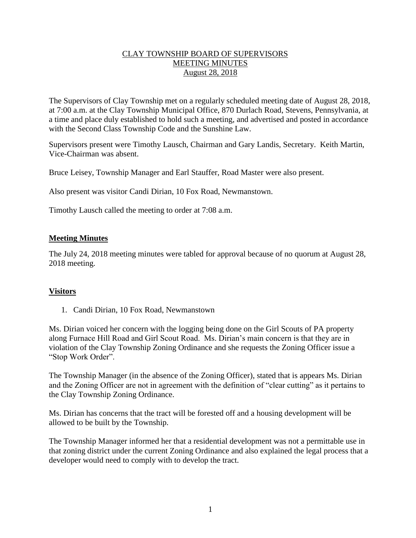## CLAY TOWNSHIP BOARD OF SUPERVISORS MEETING MINUTES August 28, 2018

The Supervisors of Clay Township met on a regularly scheduled meeting date of August 28, 2018, at 7:00 a.m. at the Clay Township Municipal Office, 870 Durlach Road, Stevens, Pennsylvania, at a time and place duly established to hold such a meeting, and advertised and posted in accordance with the Second Class Township Code and the Sunshine Law.

Supervisors present were Timothy Lausch, Chairman and Gary Landis, Secretary. Keith Martin, Vice-Chairman was absent.

Bruce Leisey, Township Manager and Earl Stauffer, Road Master were also present.

Also present was visitor Candi Dirian, 10 Fox Road, Newmanstown.

Timothy Lausch called the meeting to order at 7:08 a.m.

## **Meeting Minutes**

The July 24, 2018 meeting minutes were tabled for approval because of no quorum at August 28, 2018 meeting.

## **Visitors**

1. Candi Dirian, 10 Fox Road, Newmanstown

Ms. Dirian voiced her concern with the logging being done on the Girl Scouts of PA property along Furnace Hill Road and Girl Scout Road. Ms. Dirian's main concern is that they are in violation of the Clay Township Zoning Ordinance and she requests the Zoning Officer issue a "Stop Work Order".

The Township Manager (in the absence of the Zoning Officer), stated that is appears Ms. Dirian and the Zoning Officer are not in agreement with the definition of "clear cutting" as it pertains to the Clay Township Zoning Ordinance.

Ms. Dirian has concerns that the tract will be forested off and a housing development will be allowed to be built by the Township.

The Township Manager informed her that a residential development was not a permittable use in that zoning district under the current Zoning Ordinance and also explained the legal process that a developer would need to comply with to develop the tract.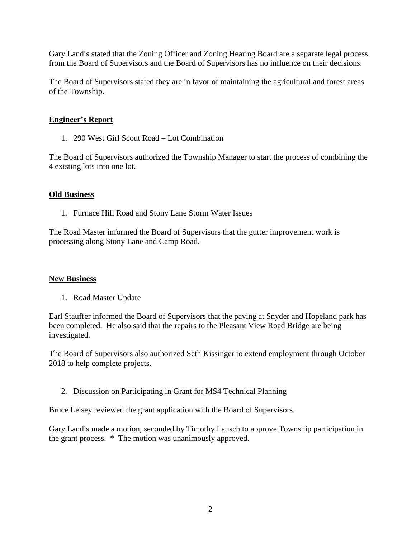Gary Landis stated that the Zoning Officer and Zoning Hearing Board are a separate legal process from the Board of Supervisors and the Board of Supervisors has no influence on their decisions.

The Board of Supervisors stated they are in favor of maintaining the agricultural and forest areas of the Township.

## **Engineer's Report**

1. 290 West Girl Scout Road – Lot Combination

The Board of Supervisors authorized the Township Manager to start the process of combining the 4 existing lots into one lot.

#### **Old Business**

1. Furnace Hill Road and Stony Lane Storm Water Issues

The Road Master informed the Board of Supervisors that the gutter improvement work is processing along Stony Lane and Camp Road.

#### **New Business**

1. Road Master Update

Earl Stauffer informed the Board of Supervisors that the paving at Snyder and Hopeland park has been completed. He also said that the repairs to the Pleasant View Road Bridge are being investigated.

The Board of Supervisors also authorized Seth Kissinger to extend employment through October 2018 to help complete projects.

2. Discussion on Participating in Grant for MS4 Technical Planning

Bruce Leisey reviewed the grant application with the Board of Supervisors.

Gary Landis made a motion, seconded by Timothy Lausch to approve Township participation in the grant process. \* The motion was unanimously approved.